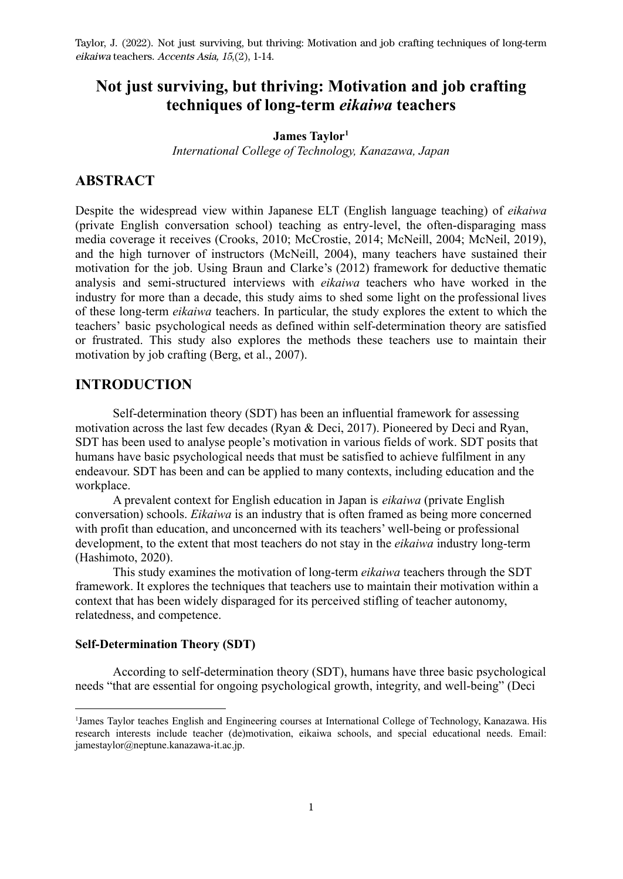## **Not just surviving, but thriving: Motivation and job crafting techniques of long-term** *eikaiwa* **teachers**

#### **James Taylor<sup>1</sup>**

*International College of Technology, Kanazawa, Japan*

## **ABSTRACT**

Despite the widespread view within Japanese ELT (English language teaching) of *eikaiwa* (private English conversation school) teaching as entry-level, the often-disparaging mass media coverage it receives (Crooks, 2010; McCrostie, 2014; McNeill, 2004; McNeil, 2019), and the high turnover of instructors (McNeill, 2004), many teachers have sustained their motivation for the job. Using Braun and Clarke's (2012) framework for deductive thematic analysis and semi-structured interviews with *eikaiwa* teachers who have worked in the industry for more than a decade, this study aims to shed some light on the professional lives of these long-term *eikaiwa* teachers. In particular, the study explores the extent to which the teachers' basic psychological needs as defined within self-determination theory are satisfied or frustrated. This study also explores the methods these teachers use to maintain their motivation by job crafting (Berg, et al., 2007).

## **INTRODUCTION**

Self-determination theory (SDT) has been an influential framework for assessing motivation across the last few decades (Ryan & Deci, 2017). Pioneered by Deci and Ryan, SDT has been used to analyse people's motivation in various fields of work. SDT posits that humans have basic psychological needs that must be satisfied to achieve fulfilment in any endeavour. SDT has been and can be applied to many contexts, including education and the workplace.

A prevalent context for English education in Japan is *eikaiwa* (private English conversation) schools. *Eikaiwa* is an industry that is often framed as being more concerned with profit than education, and unconcerned with its teachers' well-being or professional development, to the extent that most teachers do not stay in the *eikaiwa* industry long-term (Hashimoto, 2020).

This study examines the motivation of long-term *eikaiwa* teachers through the SDT framework. It explores the techniques that teachers use to maintain their motivation within a context that has been widely disparaged for its perceived stifling of teacher autonomy, relatedness, and competence.

#### **Self-Determination Theory (SDT)**

According to self-determination theory (SDT), humans have three basic psychological needs "that are essential for ongoing psychological growth, integrity, and well-being" (Deci

<sup>1</sup>James Taylor teaches English and Engineering courses at International College of Technology, Kanazawa. His research interests include teacher (de)motivation, eikaiwa schools, and special educational needs. Email: jamestaylor@neptune.kanazawa-it.ac.jp.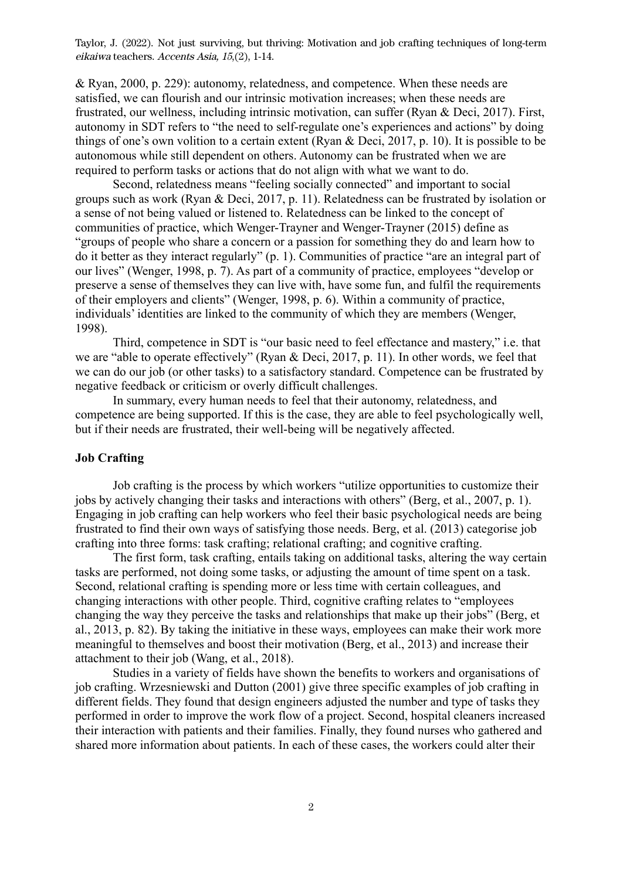& Ryan, 2000, p. 229): autonomy, relatedness, and competence. When these needs are satisfied, we can flourish and our intrinsic motivation increases; when these needs are frustrated, our wellness, including intrinsic motivation, can suffer (Ryan & Deci, 2017). First, autonomy in SDT refers to "the need to self-regulate one's experiences and actions" by doing things of one's own volition to a certain extent (Ryan & Deci, 2017, p. 10). It is possible to be autonomous while still dependent on others. Autonomy can be frustrated when we are required to perform tasks or actions that do not align with what we want to do.

Second, relatedness means "feeling socially connected" and important to social groups such as work (Ryan & Deci, 2017, p. 11). Relatedness can be frustrated by isolation or a sense of not being valued or listened to. Relatedness can be linked to the concept of communities of practice, which Wenger-Trayner and Wenger-Trayner (2015) define as "groups of people who share a concern or a passion for something they do and learn how to do it better as they interact regularly" (p. 1). Communities of practice "are an integral part of our lives" (Wenger, 1998, p. 7). As part of a community of practice, employees "develop or preserve a sense of themselves they can live with, have some fun, and fulfil the requirements of their employers and clients" (Wenger, 1998, p. 6). Within a community of practice, individuals' identities are linked to the community of which they are members (Wenger, 1998).

Third, competence in SDT is "our basic need to feel effectance and mastery," i.e. that we are "able to operate effectively" (Ryan & Deci, 2017, p. 11). In other words, we feel that we can do our job (or other tasks) to a satisfactory standard. Competence can be frustrated by negative feedback or criticism or overly difficult challenges.

In summary, every human needs to feel that their autonomy, relatedness, and competence are being supported. If this is the case, they are able to feel psychologically well, but if their needs are frustrated, their well-being will be negatively affected.

### **Job Crafting**

Job crafting is the process by which workers "utilize opportunities to customize their jobs by actively changing their tasks and interactions with others" (Berg, et al., 2007, p. 1). Engaging in job crafting can help workers who feel their basic psychological needs are being frustrated to find their own ways of satisfying those needs. Berg, et al. (2013) categorise job crafting into three forms: task crafting; relational crafting; and cognitive crafting.

The first form, task crafting, entails taking on additional tasks, altering the way certain tasks are performed, not doing some tasks, or adjusting the amount of time spent on a task. Second, relational crafting is spending more or less time with certain colleagues, and changing interactions with other people. Third, cognitive crafting relates to "employees changing the way they perceive the tasks and relationships that make up their jobs" (Berg, et al., 2013, p. 82). By taking the initiative in these ways, employees can make their work more meaningful to themselves and boost their motivation (Berg, et al., 2013) and increase their attachment to their job (Wang, et al., 2018).

Studies in a variety of fields have shown the benefits to workers and organisations of job crafting. Wrzesniewski and Dutton (2001) give three specific examples of job crafting in different fields. They found that design engineers adjusted the number and type of tasks they performed in order to improve the work flow of a project. Second, hospital cleaners increased their interaction with patients and their families. Finally, they found nurses who gathered and shared more information about patients. In each of these cases, the workers could alter their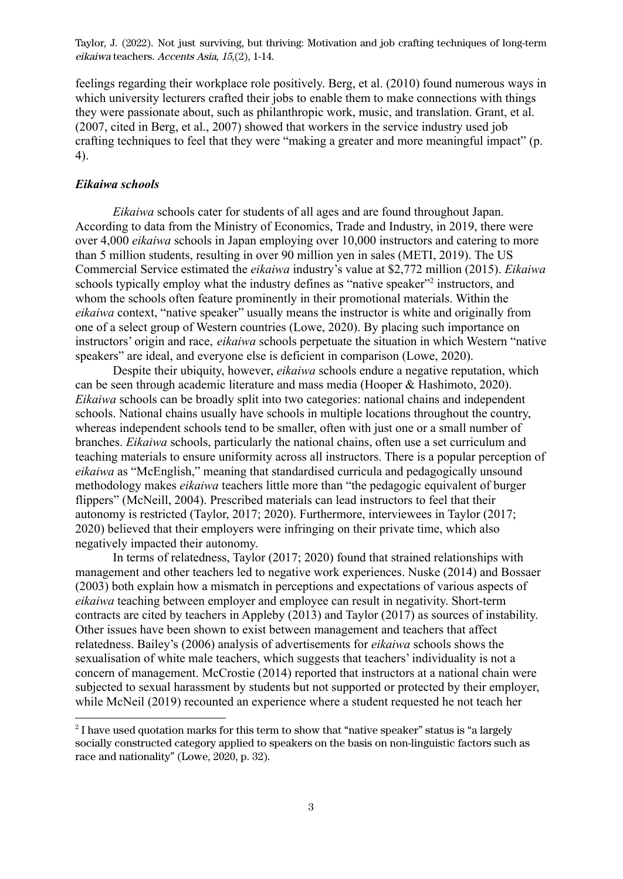feelings regarding their workplace role positively. Berg, et al. (2010) found numerous ways in which university lecturers crafted their jobs to enable them to make connections with things they were passionate about, such as philanthropic work, music, and translation. Grant, et al. (2007, cited in Berg, et al., 2007) showed that workers in the service industry used job crafting techniques to feel that they were "making a greater and more meaningful impact" (p. 4).

#### *Eikaiwa schools*

*Eikaiwa* schools cater for students of all ages and are found throughout Japan. According to data from the Ministry of Economics, Trade and Industry, in 2019, there were over 4,000 *eikaiwa* schools in Japan employing over 10,000 instructors and catering to more than 5 million students, resulting in over 90 million yen in sales (METI, 2019). The US Commercial Service estimated the *eikaiwa* industry's value at \$2,772 million (2015). *Eikaiwa* schools typically employ what the industry defines as "native speaker"<sup>2</sup> instructors, and whom the schools often feature prominently in their promotional materials. Within the *eikaiwa* context, "native speaker" usually means the instructor is white and originally from one of a select group of Western countries (Lowe, 2020). By placing such importance on instructors' origin and race, *eikaiwa* schools perpetuate the situation in which Western "native speakers" are ideal, and everyone else is deficient in comparison (Lowe, 2020).

Despite their ubiquity, however, *eikaiwa* schools endure a negative reputation, which can be seen through academic literature and mass media (Hooper & Hashimoto, 2020). *Eikaiwa* schools can be broadly split into two categories: national chains and independent schools. National chains usually have schools in multiple locations throughout the country, whereas independent schools tend to be smaller, often with just one or a small number of branches. *Eikaiwa* schools, particularly the national chains, often use a set curriculum and teaching materials to ensure uniformity across all instructors. There is a popular perception of *eikaiwa* as "McEnglish," meaning that standardised curricula and pedagogically unsound methodology makes *eikaiwa* teachers little more than "the pedagogic equivalent of burger flippers" (McNeill, 2004). Prescribed materials can lead instructors to feel that their autonomy is restricted (Taylor, 2017; 2020). Furthermore, interviewees in Taylor (2017; 2020) believed that their employers were infringing on their private time, which also negatively impacted their autonomy.

In terms of relatedness, Taylor (2017; 2020) found that strained relationships with management and other teachers led to negative work experiences. Nuske (2014) and Bossaer (2003) both explain how a mismatch in perceptions and expectations of various aspects of *eikaiwa* teaching between employer and employee can result in negativity. Short-term contracts are cited by teachers in Appleby (2013) and Taylor (2017) as sources of instability. Other issues have been shown to exist between management and teachers that affect relatedness. Bailey's (2006) analysis of advertisements for *eikaiwa* schools shows the sexualisation of white male teachers, which suggests that teachers' individuality is not a concern of management. McCrostie (2014) reported that instructors at a national chain were subjected to sexual harassment by students but not supported or protected by their employer, while McNeil (2019) recounted an experience where a student requested he not teach her

 $2^{2}$  I have used quotation marks for this term to show that "native speaker" status is "a largely socially constructed category applied to speakers on the basis on non-linguistic factors such as race and nationality" (Lowe, 2020, p. 32).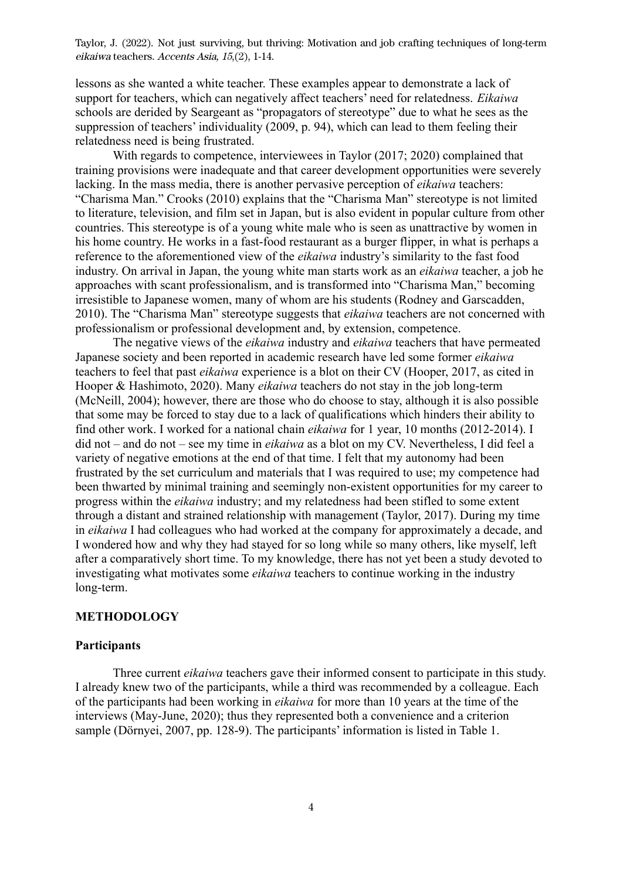lessons as she wanted a white teacher. These examples appear to demonstrate a lack of support for teachers, which can negatively affect teachers' need for relatedness. *Eikaiwa* schools are derided by Seargeant as "propagators of stereotype" due to what he sees as the suppression of teachers' individuality (2009, p. 94), which can lead to them feeling their relatedness need is being frustrated.

With regards to competence, interviewees in Taylor (2017; 2020) complained that training provisions were inadequate and that career development opportunities were severely lacking. In the mass media, there is another pervasive perception of *eikaiwa* teachers: "Charisma Man." Crooks (2010) explains that the "Charisma Man" stereotype is not limited to literature, television, and film set in Japan, but is also evident in popular culture from other countries. This stereotype is of a young white male who is seen as unattractive by women in his home country. He works in a fast-food restaurant as a burger flipper, in what is perhaps a reference to the aforementioned view of the *eikaiwa* industry's similarity to the fast food industry. On arrival in Japan, the young white man starts work as an *eikaiwa* teacher, a job he approaches with scant professionalism, and is transformed into "Charisma Man," becoming irresistible to Japanese women, many of whom are his students (Rodney and Garscadden, 2010). The "Charisma Man" stereotype suggests that *eikaiwa* teachers are not concerned with professionalism or professional development and, by extension, competence.

The negative views of the *eikaiwa* industry and *eikaiwa* teachers that have permeated Japanese society and been reported in academic research have led some former *eikaiwa* teachers to feel that past *eikaiwa* experience is a blot on their CV (Hooper, 2017, as cited in Hooper & Hashimoto, 2020). Many *eikaiwa* teachers do not stay in the job long-term (McNeill, 2004); however, there are those who do choose to stay, although it is also possible that some may be forced to stay due to a lack of qualifications which hinders their ability to find other work. I worked for a national chain *eikaiwa* for 1 year, 10 months (2012-2014). I did not – and do not – see my time in *eikaiwa* as a blot on my CV. Nevertheless, I did feel a variety of negative emotions at the end of that time. I felt that my autonomy had been frustrated by the set curriculum and materials that I was required to use; my competence had been thwarted by minimal training and seemingly non-existent opportunities for my career to progress within the *eikaiwa* industry; and my relatedness had been stifled to some extent through a distant and strained relationship with management (Taylor, 2017). During my time in *eikaiwa* I had colleagues who had worked at the company for approximately a decade, and I wondered how and why they had stayed for so long while so many others, like myself, left after a comparatively short time. To my knowledge, there has not yet been a study devoted to investigating what motivates some *eikaiwa* teachers to continue working in the industry long-term.

#### **METHODOLOGY**

### **Participants**

Three current *eikaiwa* teachers gave their informed consent to participate in this study. I already knew two of the participants, while a third was recommended by a colleague. Each of the participants had been working in *eikaiwa* for more than 10 years at the time of the interviews (May-June, 2020); thus they represented both a convenience and a criterion sample (Dörnyei, 2007, pp. 128-9). The participants' information is listed in Table 1.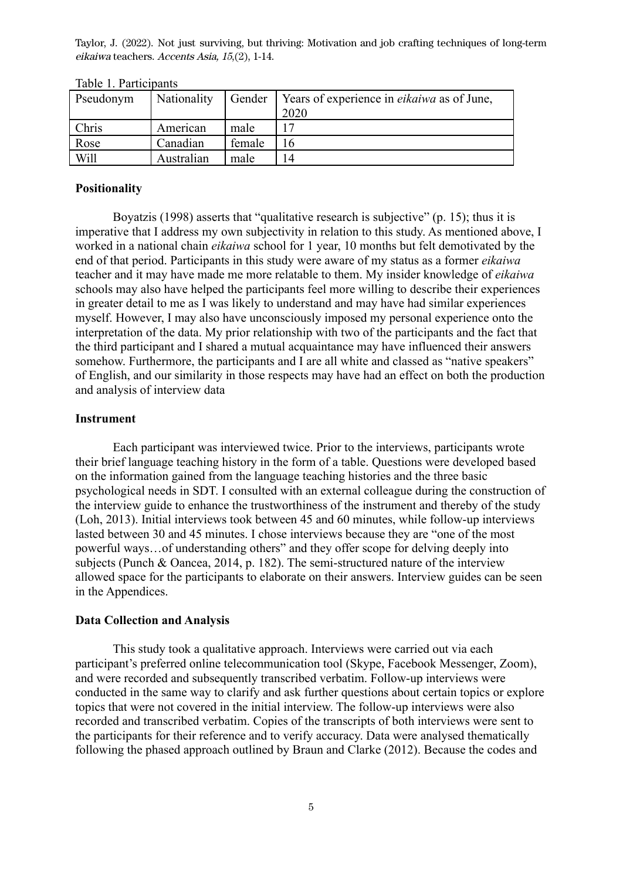| Pseudonym | Nationality | Gender | Years of experience in <i>eikaiwa</i> as of June,<br>2020 |
|-----------|-------------|--------|-----------------------------------------------------------|
| Chris     | American    | male   |                                                           |
| Rose      | Canadian    | female | 16                                                        |
| Will      | Australian  | male   | 14                                                        |

Table 1. Participants

#### **Positionality**

Boyatzis (1998) asserts that "qualitative research is subjective" (p. 15); thus it is imperative that I address my own subjectivity in relation to this study. As mentioned above, I worked in a national chain *eikaiwa* school for 1 year, 10 months but felt demotivated by the end of that period. Participants in this study were aware of my status as a former *eikaiwa* teacher and it may have made me more relatable to them. My insider knowledge of *eikaiwa* schools may also have helped the participants feel more willing to describe their experiences in greater detail to me as I was likely to understand and may have had similar experiences myself. However, I may also have unconsciously imposed my personal experience onto the interpretation of the data. My prior relationship with two of the participants and the fact that the third participant and I shared a mutual acquaintance may have influenced their answers somehow. Furthermore, the participants and I are all white and classed as "native speakers" of English, and our similarity in those respects may have had an effect on both the production and analysis of interview data

#### **Instrument**

Each participant was interviewed twice. Prior to the interviews, participants wrote their brief language teaching history in the form of a table. Questions were developed based on the information gained from the language teaching histories and the three basic psychological needs in SDT. I consulted with an external colleague during the construction of the interview guide to enhance the trustworthiness of the instrument and thereby of the study (Loh, 2013). Initial interviews took between 45 and 60 minutes, while follow-up interviews lasted between 30 and 45 minutes. I chose interviews because they are "one of the most powerful ways…of understanding others" and they offer scope for delving deeply into subjects (Punch & Oancea, 2014, p. 182). The semi-structured nature of the interview allowed space for the participants to elaborate on their answers. Interview guides can be seen in the Appendices.

#### **Data Collection and Analysis**

This study took a qualitative approach. Interviews were carried out via each participant's preferred online telecommunication tool (Skype, Facebook Messenger, Zoom), and were recorded and subsequently transcribed verbatim. Follow-up interviews were conducted in the same way to clarify and ask further questions about certain topics or explore topics that were not covered in the initial interview. The follow-up interviews were also recorded and transcribed verbatim. Copies of the transcripts of both interviews were sent to the participants for their reference and to verify accuracy. Data were analysed thematically following the phased approach outlined by Braun and Clarke (2012). Because the codes and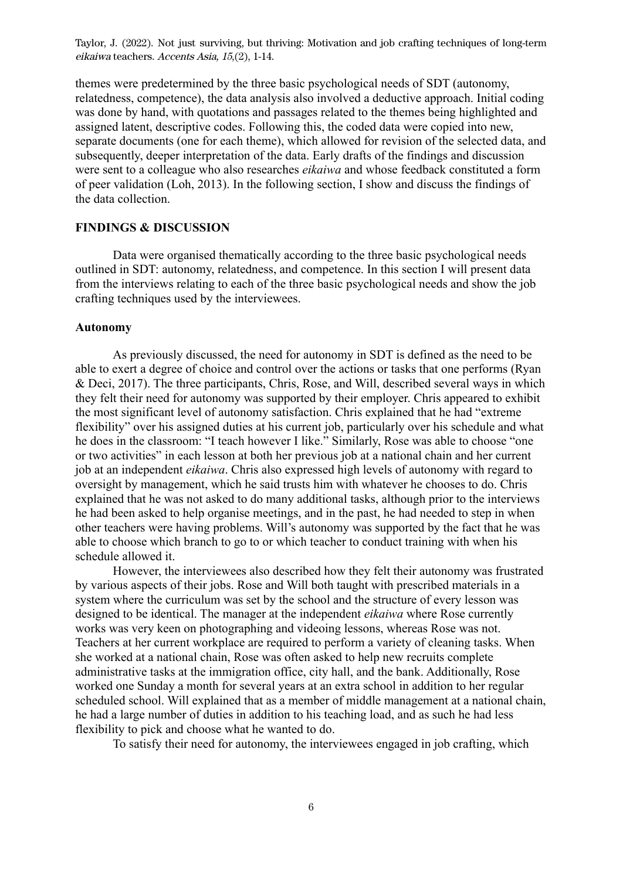themes were predetermined by the three basic psychological needs of SDT (autonomy, relatedness, competence), the data analysis also involved a deductive approach. Initial coding was done by hand, with quotations and passages related to the themes being highlighted and assigned latent, descriptive codes. Following this, the coded data were copied into new, separate documents (one for each theme), which allowed for revision of the selected data, and subsequently, deeper interpretation of the data. Early drafts of the findings and discussion were sent to a colleague who also researches *eikaiwa* and whose feedback constituted a form of peer validation (Loh, 2013). In the following section, I show and discuss the findings of the data collection.

## **FINDINGS & DISCUSSION**

Data were organised thematically according to the three basic psychological needs outlined in SDT: autonomy, relatedness, and competence. In this section I will present data from the interviews relating to each of the three basic psychological needs and show the job crafting techniques used by the interviewees.

#### **Autonomy**

As previously discussed, the need for autonomy in SDT is defined as the need to be able to exert a degree of choice and control over the actions or tasks that one performs (Ryan & Deci, 2017). The three participants, Chris, Rose, and Will, described several ways in which they felt their need for autonomy was supported by their employer. Chris appeared to exhibit the most significant level of autonomy satisfaction. Chris explained that he had "extreme flexibility" over his assigned duties at his current job, particularly over his schedule and what he does in the classroom: "I teach however I like." Similarly, Rose was able to choose "one or two activities" in each lesson at both her previous job at a national chain and her current job at an independent *eikaiwa*. Chris also expressed high levels of autonomy with regard to oversight by management, which he said trusts him with whatever he chooses to do. Chris explained that he was not asked to do many additional tasks, although prior to the interviews he had been asked to help organise meetings, and in the past, he had needed to step in when other teachers were having problems. Will's autonomy was supported by the fact that he was able to choose which branch to go to or which teacher to conduct training with when his schedule allowed it.

However, the interviewees also described how they felt their autonomy was frustrated by various aspects of their jobs. Rose and Will both taught with prescribed materials in a system where the curriculum was set by the school and the structure of every lesson was designed to be identical. The manager at the independent *eikaiwa* where Rose currently works was very keen on photographing and videoing lessons, whereas Rose was not. Teachers at her current workplace are required to perform a variety of cleaning tasks. When she worked at a national chain, Rose was often asked to help new recruits complete administrative tasks at the immigration office, city hall, and the bank. Additionally, Rose worked one Sunday a month for several years at an extra school in addition to her regular scheduled school. Will explained that as a member of middle management at a national chain, he had a large number of duties in addition to his teaching load, and as such he had less flexibility to pick and choose what he wanted to do.

To satisfy their need for autonomy, the interviewees engaged in job crafting, which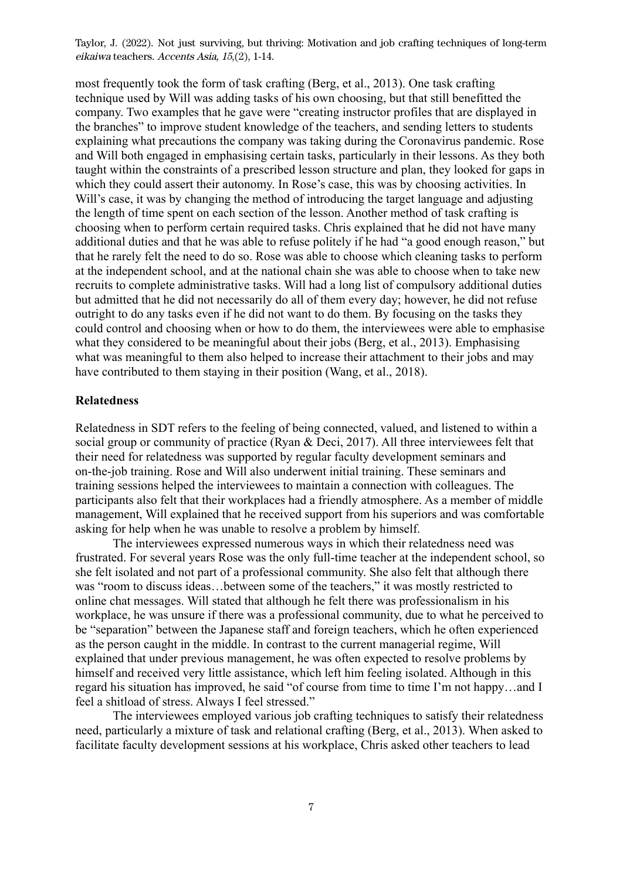most frequently took the form of task crafting (Berg, et al., 2013). One task crafting technique used by Will was adding tasks of his own choosing, but that still benefitted the company. Two examples that he gave were "creating instructor profiles that are displayed in the branches" to improve student knowledge of the teachers, and sending letters to students explaining what precautions the company was taking during the Coronavirus pandemic. Rose and Will both engaged in emphasising certain tasks, particularly in their lessons. As they both taught within the constraints of a prescribed lesson structure and plan, they looked for gaps in which they could assert their autonomy. In Rose's case, this was by choosing activities. In Will's case, it was by changing the method of introducing the target language and adjusting the length of time spent on each section of the lesson. Another method of task crafting is choosing when to perform certain required tasks. Chris explained that he did not have many additional duties and that he was able to refuse politely if he had "a good enough reason," but that he rarely felt the need to do so. Rose was able to choose which cleaning tasks to perform at the independent school, and at the national chain she was able to choose when to take new recruits to complete administrative tasks. Will had a long list of compulsory additional duties but admitted that he did not necessarily do all of them every day; however, he did not refuse outright to do any tasks even if he did not want to do them. By focusing on the tasks they could control and choosing when or how to do them, the interviewees were able to emphasise what they considered to be meaningful about their jobs (Berg, et al., 2013). Emphasising what was meaningful to them also helped to increase their attachment to their jobs and may have contributed to them staying in their position (Wang, et al., 2018).

#### **Relatedness**

Relatedness in SDT refers to the feeling of being connected, valued, and listened to within a social group or community of practice (Ryan & Deci, 2017). All three interviewees felt that their need for relatedness was supported by regular faculty development seminars and on-the-job training. Rose and Will also underwent initial training. These seminars and training sessions helped the interviewees to maintain a connection with colleagues. The participants also felt that their workplaces had a friendly atmosphere. As a member of middle management, Will explained that he received support from his superiors and was comfortable asking for help when he was unable to resolve a problem by himself.

The interviewees expressed numerous ways in which their relatedness need was frustrated. For several years Rose was the only full-time teacher at the independent school, so she felt isolated and not part of a professional community. She also felt that although there was "room to discuss ideas…between some of the teachers," it was mostly restricted to online chat messages. Will stated that although he felt there was professionalism in his workplace, he was unsure if there was a professional community, due to what he perceived to be "separation" between the Japanese staff and foreign teachers, which he often experienced as the person caught in the middle. In contrast to the current managerial regime, Will explained that under previous management, he was often expected to resolve problems by himself and received very little assistance, which left him feeling isolated. Although in this regard his situation has improved, he said "of course from time to time I'm not happy…and I feel a shitload of stress. Always I feel stressed."

The interviewees employed various job crafting techniques to satisfy their relatedness need, particularly a mixture of task and relational crafting (Berg, et al., 2013). When asked to facilitate faculty development sessions at his workplace, Chris asked other teachers to lead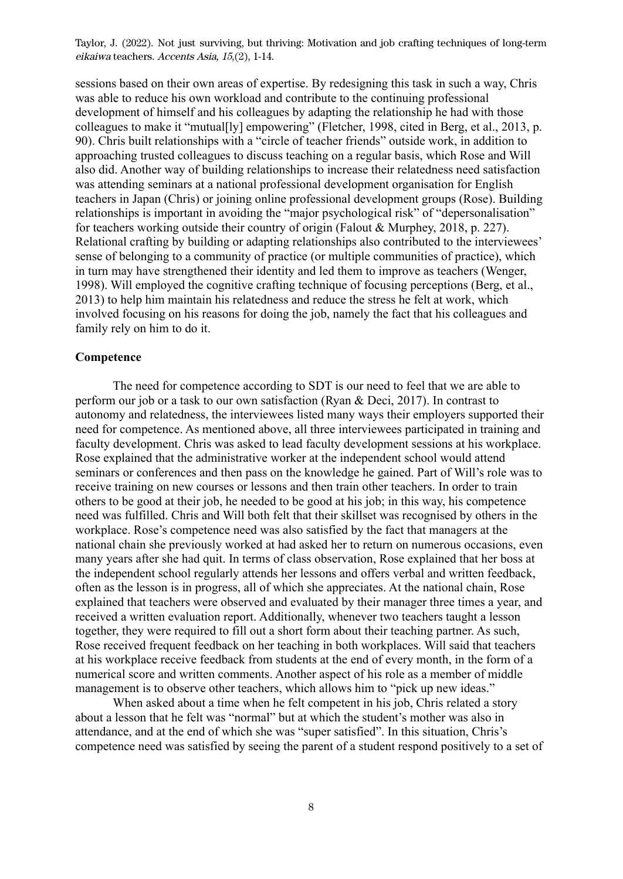sessions based on their own areas of expertise. By redesigning this task in such a way, Chris was able to reduce his own workload and contribute to the continuing professional development of himself and his colleagues by adapting the relationship he had with those colleagues to make it "mutual[ly] empowering" (Fletcher, 1998, cited in Berg, et al., 2013, p. 90). Chris built relationships with a "circle of teacher friends" outside work, in addition to approaching trusted colleagues to discuss teaching on a regular basis, which Rose and Will also did. Another way of building relationships to increase their relatedness need satisfaction was attending seminars at a national professional development organisation for English teachers in Japan (Chris) or joining online professional development groups (Rose). Building relationships is important in avoiding the "major psychological risk" of "depersonalisation" for teachers working outside their country of origin (Falout & Murphey, 2018, p. 227). Relational crafting by building or adapting relationships also contributed to the interviewees' sense of belonging to a community of practice (or multiple communities of practice), which in turn may have strengthened their identity and led them to improve as teachers (Wenger, 1998). Will employed the cognitive crafting technique of focusing perceptions (Berg, et al., 2013) to help him maintain his relatedness and reduce the stress he felt at work, which involved focusing on his reasons for doing the job, namely the fact that his colleagues and family rely on him to do it.

#### **Competence**

The need for competence according to SDT is our need to feel that we are able to perform our job or a task to our own satisfaction (Ryan & Deci, 2017). In contrast to autonomy and relatedness, the interviewees listed many ways their employers supported their need for competence. As mentioned above, all three interviewees participated in training and faculty development. Chris was asked to lead faculty development sessions at his workplace. Rose explained that the administrative worker at the independent school would attend seminars or conferences and then pass on the knowledge he gained. Part of Will's role was to receive training on new courses or lessons and then train other teachers. In order to train others to be good at their job, he needed to be good at his job; in this way, his competence need was fulfilled. Chris and Will both felt that their skillset was recognised by others in the workplace. Rose's competence need was also satisfied by the fact that managers at the national chain she previously worked at had asked her to return on numerous occasions, even many years after she had quit. In terms of class observation, Rose explained that her boss at the independent school regularly attends her lessons and offers verbal and written feedback, often as the lesson is in progress, all of which she appreciates. At the national chain, Rose explained that teachers were observed and evaluated by their manager three times a year, and received a written evaluation report. Additionally, whenever two teachers taught a lesson together, they were required to fill out a short form about their teaching partner. As such, Rose received frequent feedback on her teaching in both workplaces. Will said that teachers at his workplace receive feedback from students at the end of every month, in the form of a numerical score and written comments. Another aspect of his role as a member of middle management is to observe other teachers, which allows him to "pick up new ideas."

When asked about a time when he felt competent in his job, Chris related a story about a lesson that he felt was "normal" but at which the student's mother was also in attendance, and at the end of which she was "super satisfied". In this situation, Chris's competence need was satisfied by seeing the parent of a student respond positively to a set of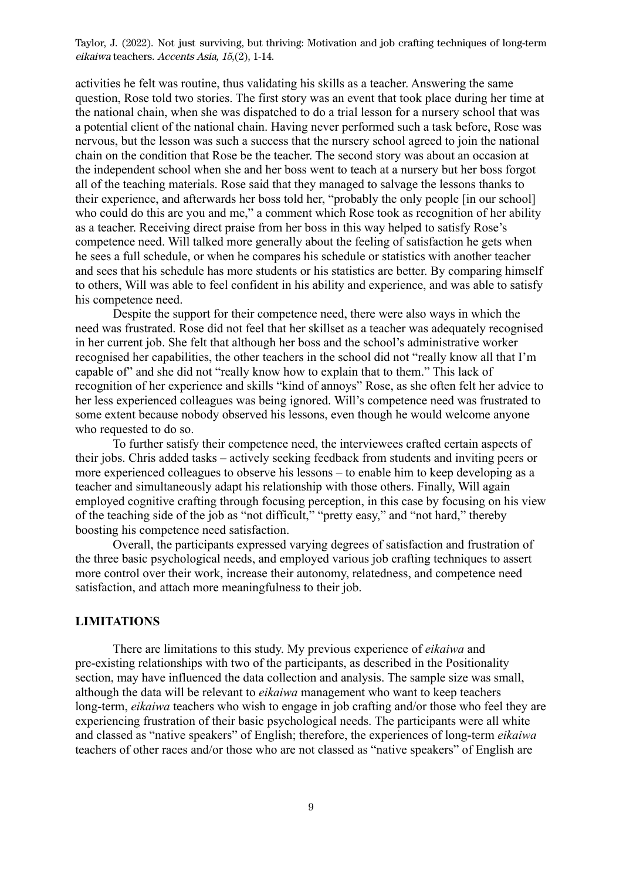activities he felt was routine, thus validating his skills as a teacher. Answering the same question, Rose told two stories. The first story was an event that took place during her time at the national chain, when she was dispatched to do a trial lesson for a nursery school that was a potential client of the national chain. Having never performed such a task before, Rose was nervous, but the lesson was such a success that the nursery school agreed to join the national chain on the condition that Rose be the teacher. The second story was about an occasion at the independent school when she and her boss went to teach at a nursery but her boss forgot all of the teaching materials. Rose said that they managed to salvage the lessons thanks to their experience, and afterwards her boss told her, "probably the only people [in our school] who could do this are you and me," a comment which Rose took as recognition of her ability as a teacher. Receiving direct praise from her boss in this way helped to satisfy Rose's competence need. Will talked more generally about the feeling of satisfaction he gets when he sees a full schedule, or when he compares his schedule or statistics with another teacher and sees that his schedule has more students or his statistics are better. By comparing himself to others, Will was able to feel confident in his ability and experience, and was able to satisfy his competence need.

Despite the support for their competence need, there were also ways in which the need was frustrated. Rose did not feel that her skillset as a teacher was adequately recognised in her current job. She felt that although her boss and the school's administrative worker recognised her capabilities, the other teachers in the school did not "really know all that I'm capable of" and she did not "really know how to explain that to them." This lack of recognition of her experience and skills "kind of annoys" Rose, as she often felt her advice to her less experienced colleagues was being ignored. Will's competence need was frustrated to some extent because nobody observed his lessons, even though he would welcome anyone who requested to do so.

To further satisfy their competence need, the interviewees crafted certain aspects of their jobs. Chris added tasks – actively seeking feedback from students and inviting peers or more experienced colleagues to observe his lessons – to enable him to keep developing as a teacher and simultaneously adapt his relationship with those others. Finally, Will again employed cognitive crafting through focusing perception, in this case by focusing on his view of the teaching side of the job as "not difficult," "pretty easy," and "not hard," thereby boosting his competence need satisfaction.

Overall, the participants expressed varying degrees of satisfaction and frustration of the three basic psychological needs, and employed various job crafting techniques to assert more control over their work, increase their autonomy, relatedness, and competence need satisfaction, and attach more meaningfulness to their job.

#### **LIMITATIONS**

There are limitations to this study. My previous experience of *eikaiwa* and pre-existing relationships with two of the participants, as described in the Positionality section, may have influenced the data collection and analysis. The sample size was small, although the data will be relevant to *eikaiwa* management who want to keep teachers long-term, *eikaiwa* teachers who wish to engage in job crafting and/or those who feel they are experiencing frustration of their basic psychological needs. The participants were all white and classed as "native speakers" of English; therefore, the experiences of long-term *eikaiwa* teachers of other races and/or those who are not classed as "native speakers" of English are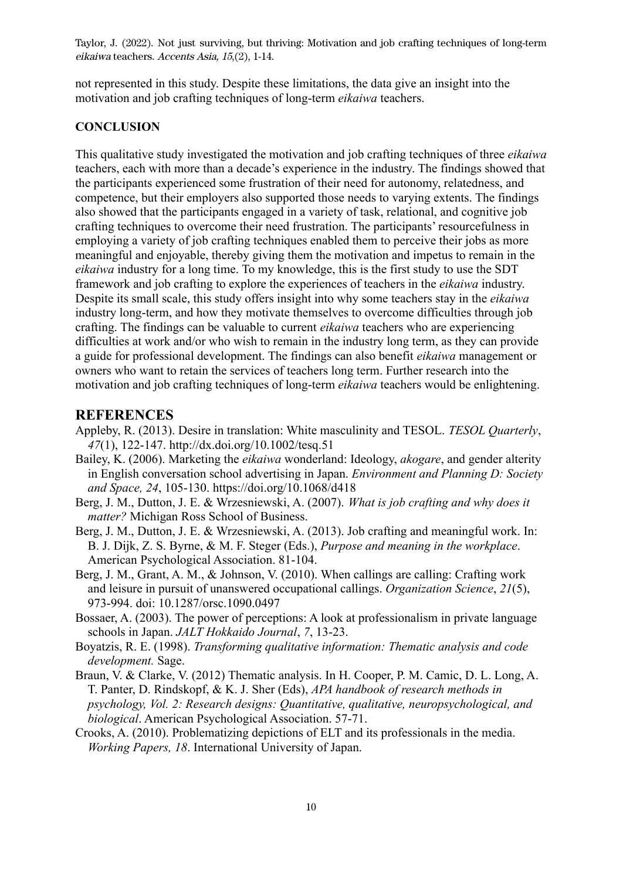not represented in this study. Despite these limitations, the data give an insight into the motivation and job crafting techniques of long-term *eikaiwa* teachers.

#### **CONCLUSION**

This qualitative study investigated the motivation and job crafting techniques of three *eikaiwa* teachers, each with more than a decade's experience in the industry. The findings showed that the participants experienced some frustration of their need for autonomy, relatedness, and competence, but their employers also supported those needs to varying extents. The findings also showed that the participants engaged in a variety of task, relational, and cognitive job crafting techniques to overcome their need frustration. The participants' resourcefulness in employing a variety of job crafting techniques enabled them to perceive their jobs as more meaningful and enjoyable, thereby giving them the motivation and impetus to remain in the *eikaiwa* industry for a long time. To my knowledge, this is the first study to use the SDT framework and job crafting to explore the experiences of teachers in the *eikaiwa* industry. Despite its small scale, this study offers insight into why some teachers stay in the *eikaiwa* industry long-term, and how they motivate themselves to overcome difficulties through job crafting. The findings can be valuable to current *eikaiwa* teachers who are experiencing difficulties at work and/or who wish to remain in the industry long term, as they can provide a guide for professional development. The findings can also benefit *eikaiwa* management or owners who want to retain the services of teachers long term. Further research into the motivation and job crafting techniques of long-term *eikaiwa* teachers would be enlightening.

## **REFERENCES**

- Appleby, R. (2013). Desire in translation: White masculinity and TESOL. *TESOL Quarterly*, *47*(1), 122-147. http://dx.doi.org/10.1002/tesq.51
- Bailey, K. (2006). Marketing the *eikaiwa* wonderland: Ideology, *akogare*, and gender alterity in English conversation school advertising in Japan. *Environment and Planning D: Society and Space, 24*, 105-130. https://doi.org/10.1068/d418
- Berg, J. M., Dutton, J. E. & Wrzesniewski, A. (2007). *What is job crafting and why does it matter?* Michigan Ross School of Business.
- Berg, J. M., Dutton, J. E. & Wrzesniewski, A. (2013). Job crafting and meaningful work. In: B. J. Dijk, Z. S. Byrne, & M. F. Steger (Eds.), *Purpose and meaning in the workplace*. American Psychological Association. 81-104.
- Berg, J. M., Grant, A. M., & Johnson, V. (2010). When callings are calling: Crafting work and leisure in pursuit of unanswered occupational callings. *Organization Science*, *21*(5), 973-994. doi: 10.1287/orsc.1090.0497
- Bossaer, A. (2003). The power of perceptions: A look at professionalism in private language schools in Japan. *JALT Hokkaido Journal*, *7*, 13-23.
- Boyatzis, R. E. (1998). *Transforming qualitative information: Thematic analysis and code development.* Sage.
- Braun, V. & Clarke, V. (2012) Thematic analysis. In H. Cooper, P. M. Camic, D. L. Long, A. T. Panter, D. Rindskopf, & K. J. Sher (Eds), *APA handbook of research methods in psychology, Vol. 2: Research designs: Quantitative, qualitative, neuropsychological, and biological*. American Psychological Association. 57-71.
- Crooks, A. (2010). Problematizing depictions of ELT and its professionals in the media. *Working Papers, 18*. International University of Japan.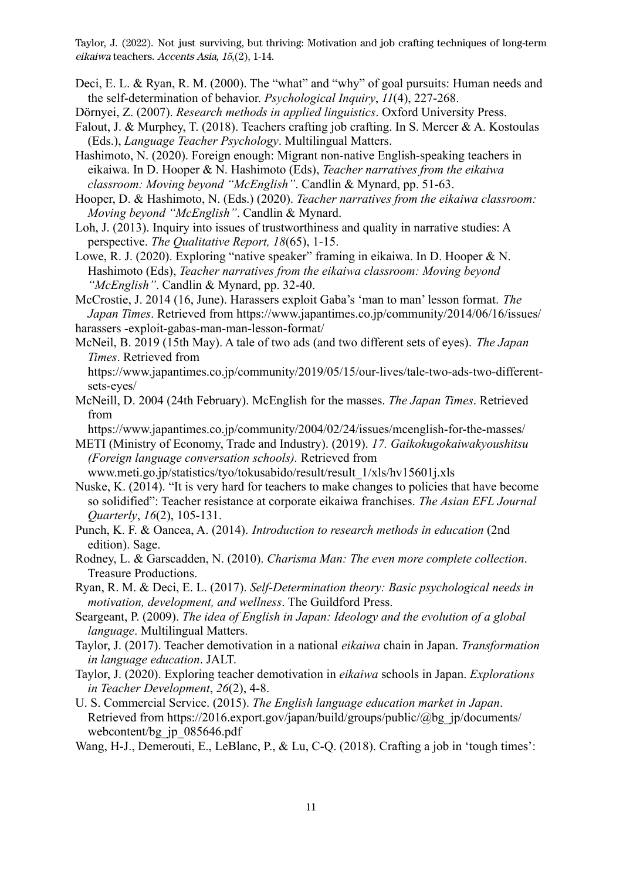- Deci, E. L. & Ryan, R. M. (2000). The "what" and "why" of goal pursuits: Human needs and the self-determination of behavior. *Psychological Inquiry*, *11*(4), 227-268.
- Dörnyei, Z. (2007). *Research methods in applied linguistics*. Oxford University Press.
- Falout, J. & Murphey, T. (2018). Teachers crafting job crafting. In S. Mercer & A. Kostoulas (Eds.), *Language Teacher Psychology*. Multilingual Matters.
- Hashimoto, N. (2020). Foreign enough: Migrant non-native English-speaking teachers in eikaiwa. In D. Hooper & N. Hashimoto (Eds), *Teacher narratives from the eikaiwa classroom: Moving beyond "McEnglish"*. Candlin & Mynard, pp. 51-63.
- Hooper, D. & Hashimoto, N. (Eds.) (2020). *Teacher narratives from the eikaiwa classroom: Moving beyond "McEnglish"*. Candlin & Mynard.
- Loh, J. (2013). Inquiry into issues of trustworthiness and quality in narrative studies: A perspective. *The Qualitative Report, 18*(65), 1-15.
- Lowe, R. J. (2020). Exploring "native speaker" framing in eikaiwa. In D. Hooper & N. Hashimoto (Eds), *Teacher narratives from the eikaiwa classroom: Moving beyond "McEnglish"*. Candlin & Mynard, pp. 32-40.
- McCrostie, J. 2014 (16, June). Harassers exploit Gaba's 'man to man' lesson format. *The Japan Times*. Retrieved from https://www.japantimes.co.jp/community/2014/06/16/issues/

harassers -exploit-gabas-man-man-lesson-format/

McNeil, B. 2019 (15th May). A tale of two ads (and two different sets of eyes). *The Japan Times*. Retrieved from

https://www.japantimes.co.jp/community/2019/05/15/our-lives/tale-two-ads-two-differentsets-eyes/

McNeill, D. 2004 (24th February). McEnglish for the masses. *The Japan Times*. Retrieved from

https://www.japantimes.co.jp/community/2004/02/24/issues/mcenglish-for-the-masses/

METI (Ministry of Economy, Trade and Industry). (2019). *17. Gaikokugokaiwakyoushitsu (Foreign language conversation schools).* Retrieved from

www.meti.go.jp/statistics/tyo/tokusabido/result/result\_1/xls/hv15601j.xls

- Nuske, K. (2014). "It is very hard for teachers to make changes to policies that have become so solidified": Teacher resistance at corporate eikaiwa franchises. *The Asian EFL Journal Quarterly*, *16*(2), 105-131.
- Punch, K. F. & Oancea, A. (2014). *Introduction to research methods in education* (2nd edition). Sage.
- Rodney, L. & Garscadden, N. (2010). *Charisma Man: The even more complete collection*. Treasure Productions.
- Ryan, R. M. & Deci, E. L. (2017). *Self-Determination theory: Basic psychological needs in motivation, development, and wellness*. The Guildford Press.
- Seargeant, P. (2009). *The idea of English in Japan: Ideology and the evolution of a global language*. Multilingual Matters.
- Taylor, J. (2017). Teacher demotivation in a national *eikaiwa* chain in Japan. *Transformation in language education*. JALT.
- Taylor, J. (2020). Exploring teacher demotivation in *eikaiwa* schools in Japan. *Explorations in Teacher Development*, *26*(2), 4-8.
- U. S. Commercial Service. (2015). *The English language education market in Japan*. Retrieved from https://2016.export.gov/japan/build/groups/public/@bg\_jp/documents/ webcontent/bg ip 085646.pdf
- Wang, H-J., Demerouti, E., LeBlanc, P., & Lu, C-Q. (2018). Crafting a job in 'tough times':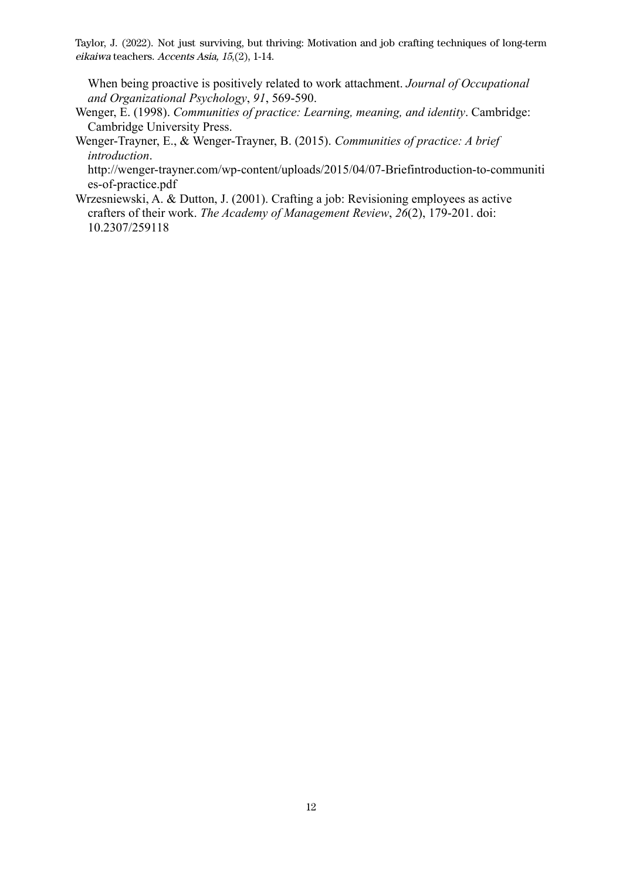When being proactive is positively related to work attachment. *Journal of Occupational and Organizational Psychology*, *91*, 569-590.

- Wenger, E. (1998). *Communities of practice: Learning, meaning, and identity*. Cambridge: Cambridge University Press.
- Wenger-Trayner, E., & Wenger-Trayner, B. (2015). *Communities of practice: A brief introduction*.

http://wenger-trayner.com/wp-content/uploads/2015/04/07-Briefintroduction-to-communiti es-of-practice.pdf

Wrzesniewski, A. & Dutton, J. (2001). Crafting a job: Revisioning employees as active crafters of their work. *The Academy of Management Review*, *26*(2), 179-201. doi: 10.2307/259118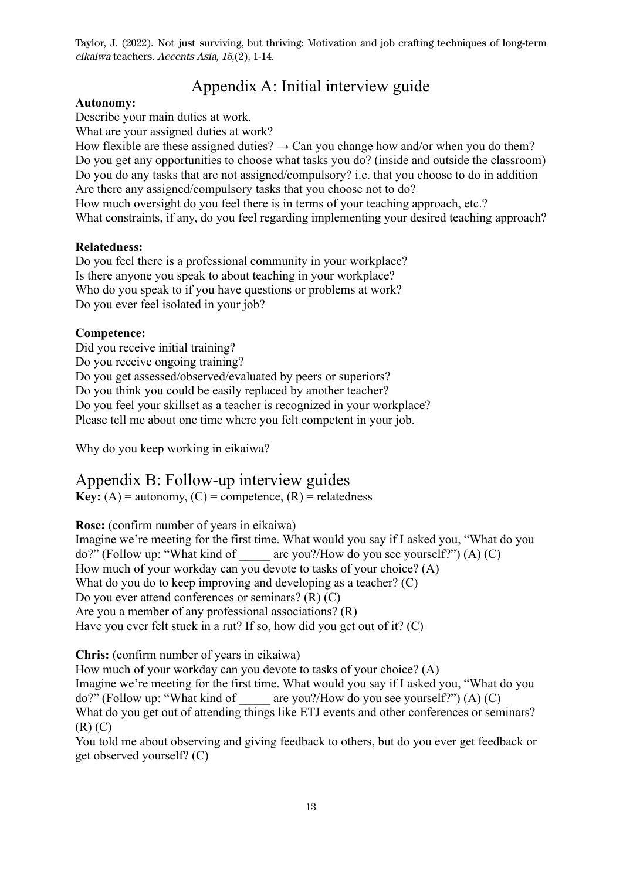# Appendix A: Initial interview guide

### **Autonomy:**

Describe your main duties at work.

What are your assigned duties at work?

How flexible are these assigned duties?  $\rightarrow$  Can you change how and/or when you do them? Do you get any opportunities to choose what tasks you do? (inside and outside the classroom) Do you do any tasks that are not assigned/compulsory? i.e. that you choose to do in addition Are there any assigned/compulsory tasks that you choose not to do? How much oversight do you feel there is in terms of your teaching approach, etc.?

What constraints, if any, do you feel regarding implementing your desired teaching approach?

## **Relatedness:**

Do you feel there is a professional community in your workplace? Is there anyone you speak to about teaching in your workplace? Who do you speak to if you have questions or problems at work? Do you ever feel isolated in your job?

## **Competence:**

Did you receive initial training? Do you receive ongoing training? Do you get assessed/observed/evaluated by peers or superiors? Do you think you could be easily replaced by another teacher? Do you feel your skillset as a teacher is recognized in your workplace? Please tell me about one time where you felt competent in your job.

Why do you keep working in eikaiwa?

## Appendix B: Follow-up interview guides

**Key:** (A) = autonomy, (C) = competence,  $(R)$  = relatedness

**Rose:** (confirm number of years in eikaiwa)

Imagine we're meeting for the first time. What would you say if I asked you, "What do you  $do?$  (Follow up: "What kind of are you?/How do you see yourself?") (A) (C) How much of your workday can you devote to tasks of your choice? (A) What do you do to keep improving and developing as a teacher? (C) Do you ever attend conferences or seminars? (R) (C) Are you a member of any professional associations? (R) Have you ever felt stuck in a rut? If so, how did you get out of it? (C)

**Chris:** (confirm number of years in eikaiwa)

How much of your workday can you devote to tasks of your choice? (A)

Imagine we're meeting for the first time. What would you say if I asked you, "What do you do?" (Follow up: "What kind of  $\qquad$  are you?/How do you see yourself?") (A) (C)

What do you get out of attending things like ETJ events and other conferences or seminars? (R) (C)

You told me about observing and giving feedback to others, but do you ever get feedback or get observed yourself? (C)